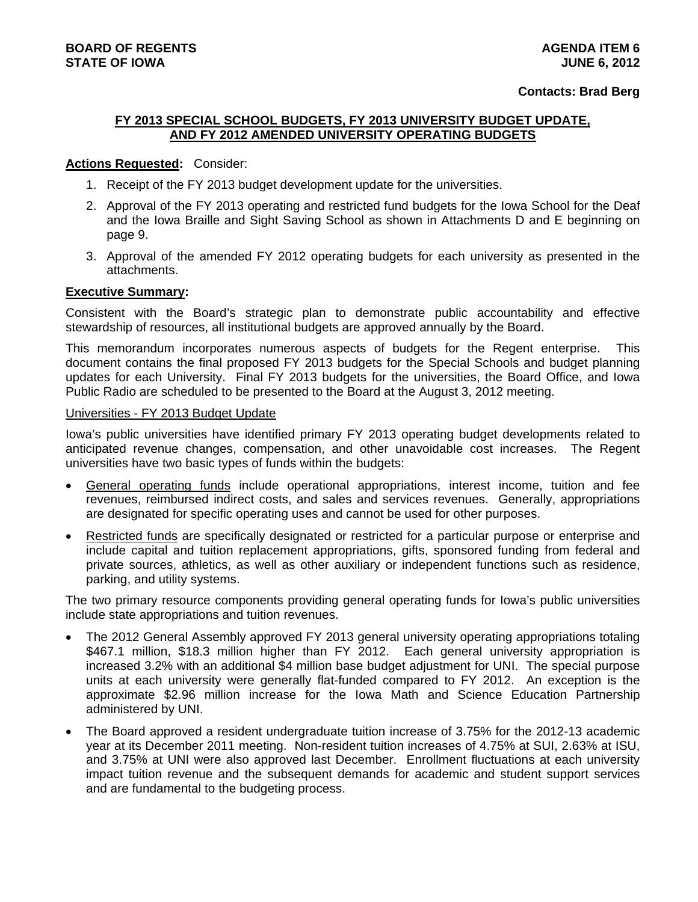#### **Contacts: Brad Berg**

### **FY 2013 SPECIAL SCHOOL BUDGETS, FY 2013 UNIVERSITY BUDGET UPDATE, AND FY 2012 AMENDED UNIVERSITY OPERATING BUDGETS**

#### **Actions Requested:** Consider:

- 1. Receipt of the FY 2013 budget development update for the universities.
- 2. Approval of the FY 2013 operating and restricted fund budgets for the Iowa School for the Deaf and the Iowa Braille and Sight Saving School as shown in Attachments D and E beginning on page 9.
- 3. Approval of the amended FY 2012 operating budgets for each university as presented in the attachments.

#### **Executive Summary:**

Consistent with the Board's strategic plan to demonstrate public accountability and effective stewardship of resources, all institutional budgets are approved annually by the Board.

This memorandum incorporates numerous aspects of budgets for the Regent enterprise. This document contains the final proposed FY 2013 budgets for the Special Schools and budget planning updates for each University. Final FY 2013 budgets for the universities, the Board Office, and Iowa Public Radio are scheduled to be presented to the Board at the August 3, 2012 meeting.

## Universities - FY 2013 Budget Update

Iowa's public universities have identified primary FY 2013 operating budget developments related to anticipated revenue changes, compensation, and other unavoidable cost increases. The Regent universities have two basic types of funds within the budgets:

- General operating funds include operational appropriations, interest income, tuition and fee revenues, reimbursed indirect costs, and sales and services revenues. Generally, appropriations are designated for specific operating uses and cannot be used for other purposes.
- Restricted funds are specifically designated or restricted for a particular purpose or enterprise and include capital and tuition replacement appropriations, gifts, sponsored funding from federal and private sources, athletics, as well as other auxiliary or independent functions such as residence, parking, and utility systems.

The two primary resource components providing general operating funds for Iowa's public universities include state appropriations and tuition revenues.

- The 2012 General Assembly approved FY 2013 general university operating appropriations totaling \$467.1 million, \$18.3 million higher than FY 2012. Each general university appropriation is increased 3.2% with an additional \$4 million base budget adjustment for UNI. The special purpose units at each university were generally flat-funded compared to FY 2012. An exception is the approximate \$2.96 million increase for the Iowa Math and Science Education Partnership administered by UNI.
- The Board approved a resident undergraduate tuition increase of 3.75% for the 2012-13 academic year at its December 2011 meeting. Non-resident tuition increases of 4.75% at SUI, 2.63% at ISU, and 3.75% at UNI were also approved last December. Enrollment fluctuations at each university impact tuition revenue and the subsequent demands for academic and student support services and are fundamental to the budgeting process.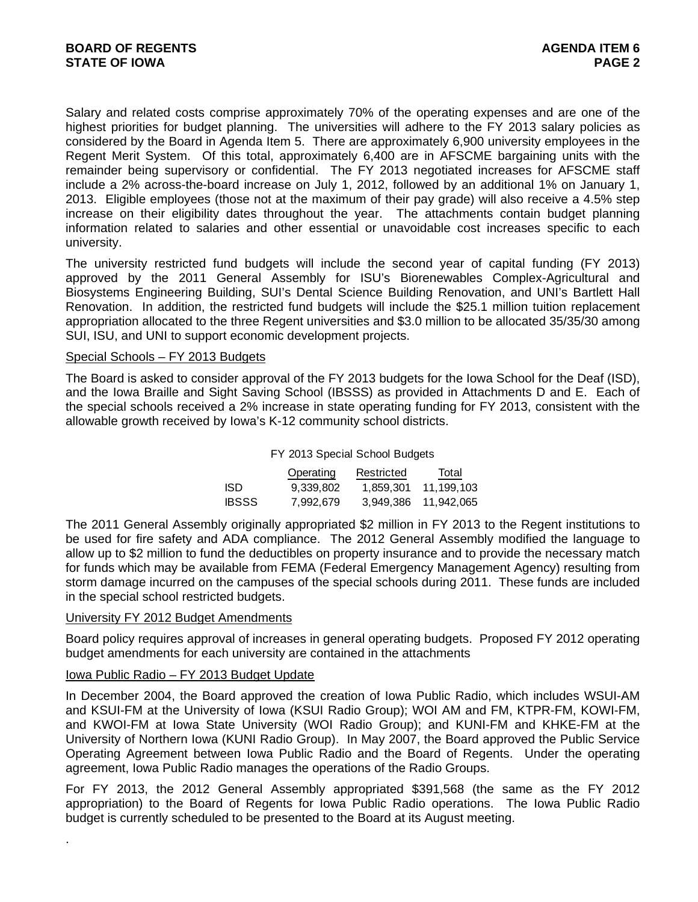Salary and related costs comprise approximately 70% of the operating expenses and are one of the highest priorities for budget planning. The universities will adhere to the FY 2013 salary policies as considered by the Board in Agenda Item 5. There are approximately 6,900 university employees in the Regent Merit System. Of this total, approximately 6,400 are in AFSCME bargaining units with the remainder being supervisory or confidential. The FY 2013 negotiated increases for AFSCME staff include a 2% across-the-board increase on July 1, 2012, followed by an additional 1% on January 1, 2013. Eligible employees (those not at the maximum of their pay grade) will also receive a 4.5% step increase on their eligibility dates throughout the year. The attachments contain budget planning information related to salaries and other essential or unavoidable cost increases specific to each university.

The university restricted fund budgets will include the second year of capital funding (FY 2013) approved by the 2011 General Assembly for ISU's Biorenewables Complex-Agricultural and Biosystems Engineering Building, SUI's Dental Science Building Renovation, and UNI's Bartlett Hall Renovation. In addition, the restricted fund budgets will include the \$25.1 million tuition replacement appropriation allocated to the three Regent universities and \$3.0 million to be allocated 35/35/30 among SUI, ISU, and UNI to support economic development projects.

# Special Schools – FY 2013 Budgets

The Board is asked to consider approval of the FY 2013 budgets for the Iowa School for the Deaf (ISD), and the Iowa Braille and Sight Saving School (IBSSS) as provided in Attachments D and E. Each of the special schools received a 2% increase in state operating funding for FY 2013, consistent with the allowable growth received by Iowa's K-12 community school districts.

#### FY 2013 Special School Budgets

|              | Operating | Restricted | Total      |
|--------------|-----------|------------|------------|
| ISD.         | 9.339.802 | 1.859.301  | 11.199.103 |
| <b>IBSSS</b> | 7,992,679 | 3.949.386  | 11.942.065 |

The 2011 General Assembly originally appropriated \$2 million in FY 2013 to the Regent institutions to be used for fire safety and ADA compliance. The 2012 General Assembly modified the language to allow up to \$2 million to fund the deductibles on property insurance and to provide the necessary match for funds which may be available from FEMA (Federal Emergency Management Agency) resulting from storm damage incurred on the campuses of the special schools during 2011. These funds are included in the special school restricted budgets.

### University FY 2012 Budget Amendments

Board policy requires approval of increases in general operating budgets. Proposed FY 2012 operating budget amendments for each university are contained in the attachments

#### Iowa Public Radio – FY 2013 Budget Update

.

In December 2004, the Board approved the creation of Iowa Public Radio, which includes WSUI-AM and KSUI-FM at the University of Iowa (KSUI Radio Group); WOI AM and FM, KTPR-FM, KOWI-FM, and KWOI-FM at Iowa State University (WOI Radio Group); and KUNI-FM and KHKE-FM at the University of Northern Iowa (KUNI Radio Group). In May 2007, the Board approved the Public Service Operating Agreement between Iowa Public Radio and the Board of Regents. Under the operating agreement, Iowa Public Radio manages the operations of the Radio Groups.

For FY 2013, the 2012 General Assembly appropriated \$391,568 (the same as the FY 2012 appropriation) to the Board of Regents for Iowa Public Radio operations. The Iowa Public Radio budget is currently scheduled to be presented to the Board at its August meeting.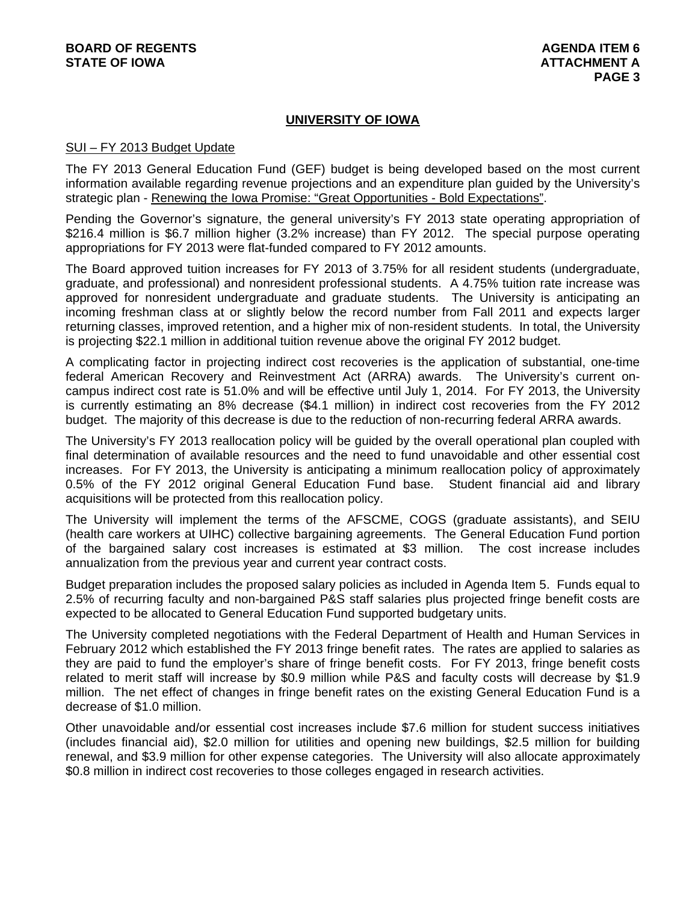# **UNIVERSITY OF IOWA**

#### SUI – FY 2013 Budget Update

The FY 2013 General Education Fund (GEF) budget is being developed based on the most current information available regarding revenue projections and an expenditure plan guided by the University's strategic plan - Renewing the Iowa Promise: "Great Opportunities - Bold Expectations".

Pending the Governor's signature, the general university's FY 2013 state operating appropriation of \$216.4 million is \$6.7 million higher (3.2% increase) than FY 2012. The special purpose operating appropriations for FY 2013 were flat-funded compared to FY 2012 amounts.

The Board approved tuition increases for FY 2013 of 3.75% for all resident students (undergraduate, graduate, and professional) and nonresident professional students. A 4.75% tuition rate increase was approved for nonresident undergraduate and graduate students. The University is anticipating an incoming freshman class at or slightly below the record number from Fall 2011 and expects larger returning classes, improved retention, and a higher mix of non-resident students. In total, the University is projecting \$22.1 million in additional tuition revenue above the original FY 2012 budget.

A complicating factor in projecting indirect cost recoveries is the application of substantial, one-time federal American Recovery and Reinvestment Act (ARRA) awards. The University's current oncampus indirect cost rate is 51.0% and will be effective until July 1, 2014. For FY 2013, the University is currently estimating an 8% decrease (\$4.1 million) in indirect cost recoveries from the FY 2012 budget. The majority of this decrease is due to the reduction of non-recurring federal ARRA awards.

The University's FY 2013 reallocation policy will be guided by the overall operational plan coupled with final determination of available resources and the need to fund unavoidable and other essential cost increases. For FY 2013, the University is anticipating a minimum reallocation policy of approximately 0.5% of the FY 2012 original General Education Fund base. Student financial aid and library acquisitions will be protected from this reallocation policy.

The University will implement the terms of the AFSCME, COGS (graduate assistants), and SEIU (health care workers at UIHC) collective bargaining agreements. The General Education Fund portion of the bargained salary cost increases is estimated at \$3 million. The cost increase includes annualization from the previous year and current year contract costs.

Budget preparation includes the proposed salary policies as included in Agenda Item 5. Funds equal to 2.5% of recurring faculty and non-bargained P&S staff salaries plus projected fringe benefit costs are expected to be allocated to General Education Fund supported budgetary units.

The University completed negotiations with the Federal Department of Health and Human Services in February 2012 which established the FY 2013 fringe benefit rates. The rates are applied to salaries as they are paid to fund the employer's share of fringe benefit costs. For FY 2013, fringe benefit costs related to merit staff will increase by \$0.9 million while P&S and faculty costs will decrease by \$1.9 million. The net effect of changes in fringe benefit rates on the existing General Education Fund is a decrease of \$1.0 million.

Other unavoidable and/or essential cost increases include \$7.6 million for student success initiatives (includes financial aid), \$2.0 million for utilities and opening new buildings, \$2.5 million for building renewal, and \$3.9 million for other expense categories. The University will also allocate approximately \$0.8 million in indirect cost recoveries to those colleges engaged in research activities.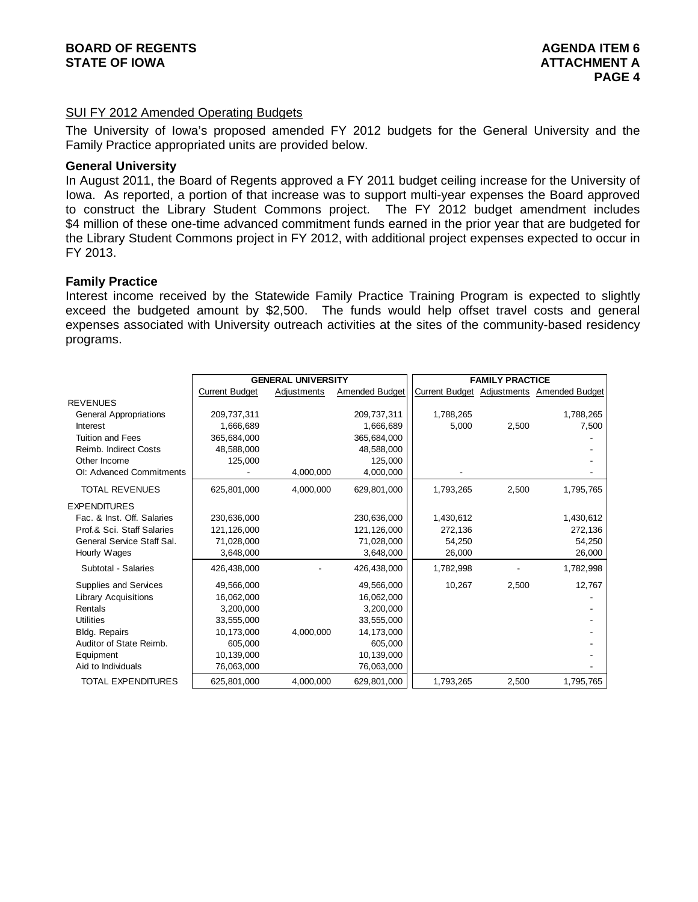# SUI FY 2012 Amended Operating Budgets

The University of Iowa's proposed amended FY 2012 budgets for the General University and the Family Practice appropriated units are provided below.

### **General University**

In August 2011, the Board of Regents approved a FY 2011 budget ceiling increase for the University of Iowa. As reported, a portion of that increase was to support multi-year expenses the Board approved to construct the Library Student Commons project. The FY 2012 budget amendment includes \$4 million of these one-time advanced commitment funds earned in the prior year that are budgeted for the Library Student Commons project in FY 2012, with additional project expenses expected to occur in FY 2013.

### **Family Practice**

Interest income received by the Statewide Family Practice Training Program is expected to slightly exceed the budgeted amount by \$2,500. The funds would help offset travel costs and general expenses associated with University outreach activities at the sites of the community-based residency programs.

|                             | <b>GENERAL UNIVERSITY</b> |             | <b>FAMILY PRACTICE</b> |           |       |                                           |
|-----------------------------|---------------------------|-------------|------------------------|-----------|-------|-------------------------------------------|
|                             | <b>Current Budget</b>     | Adjustments | Amended Budget         |           |       | Current Budget Adjustments Amended Budget |
| <b>REVENUES</b>             |                           |             |                        |           |       |                                           |
| General Appropriations      | 209,737,311               |             | 209,737,311            | 1,788,265 |       | 1,788,265                                 |
| Interest                    | 1,666,689                 |             | 1,666,689              | 5,000     | 2,500 | 7,500                                     |
| <b>Tuition and Fees</b>     | 365,684,000               |             | 365,684,000            |           |       |                                           |
| Reimb. Indirect Costs       | 48,588,000                |             | 48,588,000             |           |       |                                           |
| Other Income                | 125,000                   |             | 125,000                |           |       |                                           |
| OI: Advanced Commitments    |                           | 4,000,000   | 4,000,000              |           |       |                                           |
| <b>TOTAL REVENUES</b>       | 625,801,000               | 4,000,000   | 629,801,000            | 1,793,265 | 2,500 | 1,795,765                                 |
| <b>EXPENDITURES</b>         |                           |             |                        |           |       |                                           |
| Fac. & Inst. Off. Salaries  | 230,636,000               |             | 230,636,000            | 1,430,612 |       | 1,430,612                                 |
| Prof.& Sci. Staff Salaries  | 121,126,000               |             | 121,126,000            | 272.136   |       | 272,136                                   |
| General Service Staff Sal.  | 71,028,000                |             | 71,028,000             | 54,250    |       | 54,250                                    |
| Hourly Wages                | 3,648,000                 |             | 3,648,000              | 26,000    |       | 26,000                                    |
| Subtotal - Salaries         | 426.438.000               |             | 426,438,000            | 1,782,998 |       | 1,782,998                                 |
| Supplies and Services       | 49,566,000                |             | 49,566,000             | 10.267    | 2,500 | 12,767                                    |
| <b>Library Acquisitions</b> | 16,062,000                |             | 16,062,000             |           |       |                                           |
| Rentals                     | 3,200,000                 |             | 3,200,000              |           |       |                                           |
| <b>Utilities</b>            | 33,555,000                |             | 33,555,000             |           |       |                                           |
| Bldg. Repairs               | 10,173,000                | 4.000.000   | 14,173,000             |           |       |                                           |
| Auditor of State Reimb.     | 605,000                   |             | 605,000                |           |       |                                           |
| Equipment                   | 10,139,000                |             | 10,139,000             |           |       |                                           |
| Aid to Individuals          | 76,063,000                |             | 76,063,000             |           |       |                                           |
| <b>TOTAL EXPENDITURES</b>   | 625,801,000               | 4,000,000   | 629,801,000            | 1,793,265 | 2,500 | 1,795,765                                 |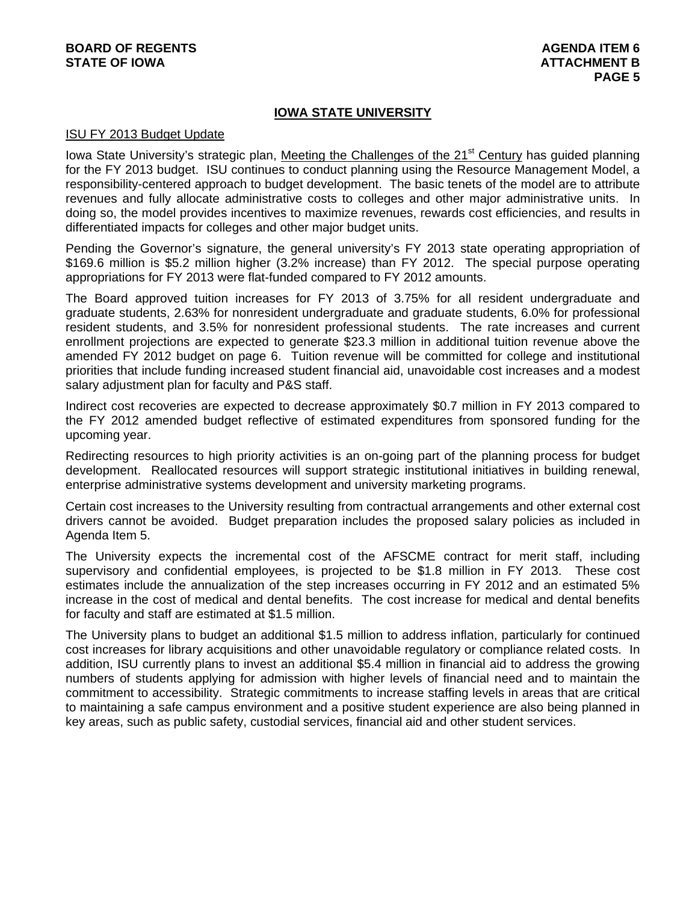# **IOWA STATE UNIVERSITY**

#### ISU FY 2013 Budget Update

Iowa State University's strategic plan, Meeting the Challenges of the 21<sup>st</sup> Century has guided planning for the FY 2013 budget. ISU continues to conduct planning using the Resource Management Model, a responsibility-centered approach to budget development. The basic tenets of the model are to attribute revenues and fully allocate administrative costs to colleges and other major administrative units. In doing so, the model provides incentives to maximize revenues, rewards cost efficiencies, and results in differentiated impacts for colleges and other major budget units.

Pending the Governor's signature, the general university's FY 2013 state operating appropriation of \$169.6 million is \$5.2 million higher (3.2% increase) than FY 2012. The special purpose operating appropriations for FY 2013 were flat-funded compared to FY 2012 amounts.

The Board approved tuition increases for FY 2013 of 3.75% for all resident undergraduate and graduate students, 2.63% for nonresident undergraduate and graduate students, 6.0% for professional resident students, and 3.5% for nonresident professional students. The rate increases and current enrollment projections are expected to generate \$23.3 million in additional tuition revenue above the amended FY 2012 budget on page 6. Tuition revenue will be committed for college and institutional priorities that include funding increased student financial aid, unavoidable cost increases and a modest salary adjustment plan for faculty and P&S staff.

Indirect cost recoveries are expected to decrease approximately \$0.7 million in FY 2013 compared to the FY 2012 amended budget reflective of estimated expenditures from sponsored funding for the upcoming year.

Redirecting resources to high priority activities is an on-going part of the planning process for budget development. Reallocated resources will support strategic institutional initiatives in building renewal, enterprise administrative systems development and university marketing programs.

Certain cost increases to the University resulting from contractual arrangements and other external cost drivers cannot be avoided. Budget preparation includes the proposed salary policies as included in Agenda Item 5.

The University expects the incremental cost of the AFSCME contract for merit staff, including supervisory and confidential employees, is projected to be \$1.8 million in FY 2013. These cost estimates include the annualization of the step increases occurring in FY 2012 and an estimated 5% increase in the cost of medical and dental benefits. The cost increase for medical and dental benefits for faculty and staff are estimated at \$1.5 million.

The University plans to budget an additional \$1.5 million to address inflation, particularly for continued cost increases for library acquisitions and other unavoidable regulatory or compliance related costs. In addition, ISU currently plans to invest an additional \$5.4 million in financial aid to address the growing numbers of students applying for admission with higher levels of financial need and to maintain the commitment to accessibility. Strategic commitments to increase staffing levels in areas that are critical to maintaining a safe campus environment and a positive student experience are also being planned in key areas, such as public safety, custodial services, financial aid and other student services.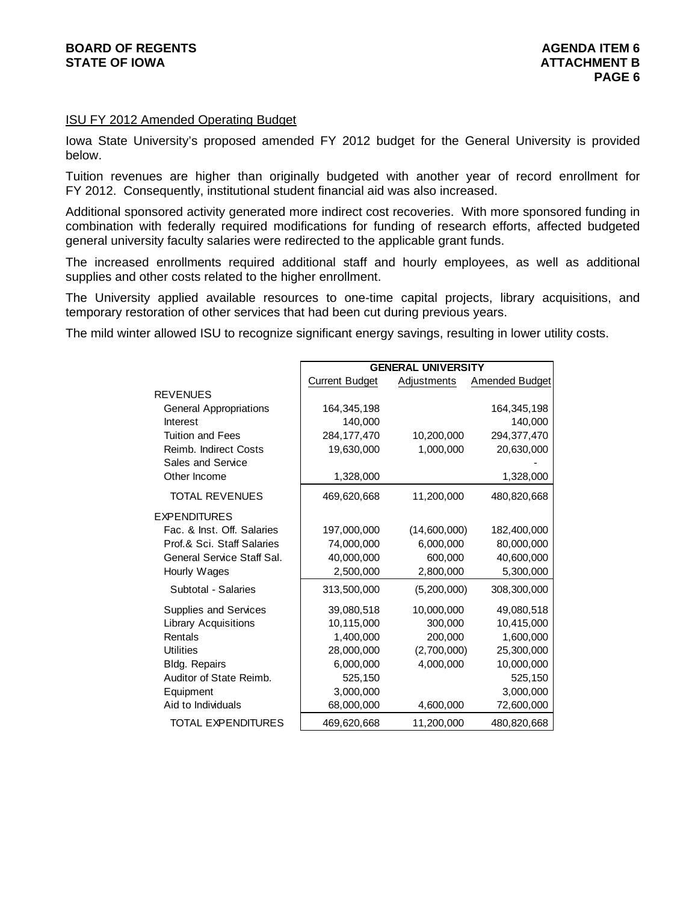#### ISU FY 2012 Amended Operating Budget

Iowa State University's proposed amended FY 2012 budget for the General University is provided below.

Tuition revenues are higher than originally budgeted with another year of record enrollment for FY 2012. Consequently, institutional student financial aid was also increased.

Additional sponsored activity generated more indirect cost recoveries. With more sponsored funding in combination with federally required modifications for funding of research efforts, affected budgeted general university faculty salaries were redirected to the applicable grant funds.

The increased enrollments required additional staff and hourly employees, as well as additional supplies and other costs related to the higher enrollment.

The University applied available resources to one-time capital projects, library acquisitions, and temporary restoration of other services that had been cut during previous years.

The mild winter allowed ISU to recognize significant energy savings, resulting in lower utility costs.

|                               | <b>GENERAL UNIVERSITY</b> |              |                |  |
|-------------------------------|---------------------------|--------------|----------------|--|
|                               | Current Budget            | Adjustments  | Amended Budget |  |
| <b>REVENUES</b>               |                           |              |                |  |
| <b>General Appropriations</b> | 164,345,198               |              | 164,345,198    |  |
| Interest                      | 140,000                   |              | 140,000        |  |
| Tuition and Fees              | 284, 177, 470             | 10,200,000   | 294, 377, 470  |  |
| Reimb. Indirect Costs         | 19,630,000                | 1,000,000    | 20,630,000     |  |
| Sales and Service             |                           |              |                |  |
| Other Income                  | 1,328,000                 |              | 1,328,000      |  |
| <b>TOTAL REVENUES</b>         | 469,620,668               | 11,200,000   | 480,820,668    |  |
| <b>EXPENDITURES</b>           |                           |              |                |  |
| Fac. & Inst. Off. Salaries    | 197,000,000               | (14,600,000) | 182,400,000    |  |
| Prof.& Sci. Staff Salaries    | 74,000,000                | 6,000,000    | 80,000,000     |  |
| General Service Staff Sal.    | 40,000,000                | 600,000      | 40,600,000     |  |
| Hourly Wages                  | 2,500,000                 | 2,800,000    | 5,300,000      |  |
| Subtotal - Salaries           | 313,500,000               | (5,200,000)  | 308,300,000    |  |
| <b>Supplies and Services</b>  | 39,080,518                | 10,000,000   | 49,080,518     |  |
| <b>Library Acquisitions</b>   | 10,115,000                | 300,000      | 10,415,000     |  |
| Rentals                       | 1,400,000                 | 200,000      | 1,600,000      |  |
| <b>Utilities</b>              | 28,000,000                | (2,700,000)  | 25,300,000     |  |
| Bldg. Repairs                 | 6,000,000                 | 4,000,000    | 10,000,000     |  |
| Auditor of State Reimb.       | 525,150                   |              | 525,150        |  |
| Equipment                     | 3,000,000                 |              | 3,000,000      |  |
| Aid to Individuals            | 68,000,000                | 4,600,000    | 72,600,000     |  |
| <b>TOTAL EXPENDITURES</b>     | 469,620,668               | 11,200,000   | 480,820,668    |  |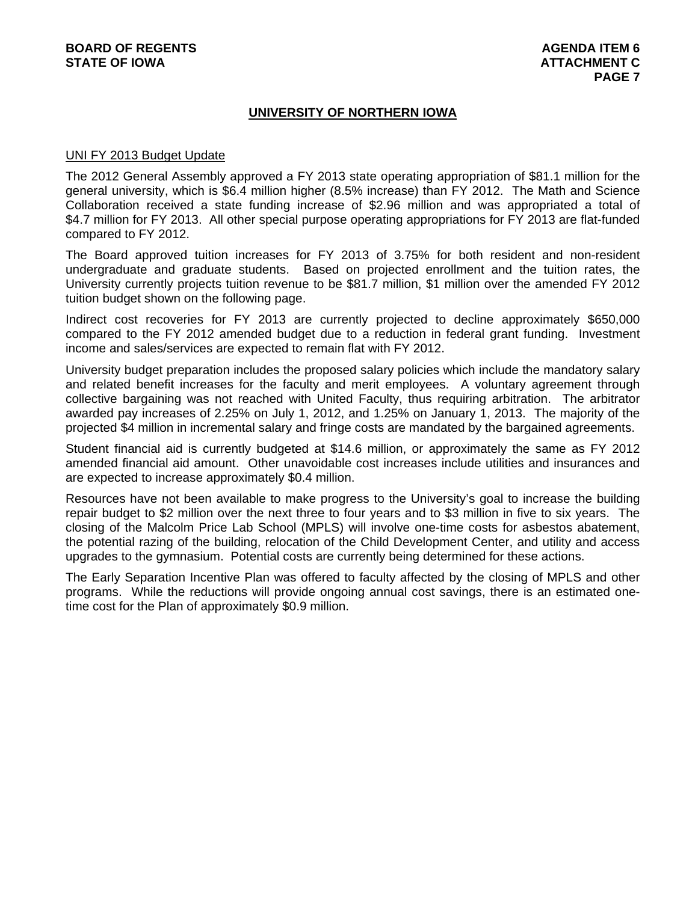## **UNIVERSITY OF NORTHERN IOWA**

#### UNI FY 2013 Budget Update

The 2012 General Assembly approved a FY 2013 state operating appropriation of \$81.1 million for the general university, which is \$6.4 million higher (8.5% increase) than FY 2012. The Math and Science Collaboration received a state funding increase of \$2.96 million and was appropriated a total of \$4.7 million for FY 2013. All other special purpose operating appropriations for FY 2013 are flat-funded compared to FY 2012.

The Board approved tuition increases for FY 2013 of 3.75% for both resident and non-resident undergraduate and graduate students. Based on projected enrollment and the tuition rates, the University currently projects tuition revenue to be \$81.7 million, \$1 million over the amended FY 2012 tuition budget shown on the following page.

Indirect cost recoveries for FY 2013 are currently projected to decline approximately \$650,000 compared to the FY 2012 amended budget due to a reduction in federal grant funding. Investment income and sales/services are expected to remain flat with FY 2012.

University budget preparation includes the proposed salary policies which include the mandatory salary and related benefit increases for the faculty and merit employees. A voluntary agreement through collective bargaining was not reached with United Faculty, thus requiring arbitration. The arbitrator awarded pay increases of 2.25% on July 1, 2012, and 1.25% on January 1, 2013. The majority of the projected \$4 million in incremental salary and fringe costs are mandated by the bargained agreements.

Student financial aid is currently budgeted at \$14.6 million, or approximately the same as FY 2012 amended financial aid amount. Other unavoidable cost increases include utilities and insurances and are expected to increase approximately \$0.4 million.

Resources have not been available to make progress to the University's goal to increase the building repair budget to \$2 million over the next three to four years and to \$3 million in five to six years. The closing of the Malcolm Price Lab School (MPLS) will involve one-time costs for asbestos abatement, the potential razing of the building, relocation of the Child Development Center, and utility and access upgrades to the gymnasium. Potential costs are currently being determined for these actions.

The Early Separation Incentive Plan was offered to faculty affected by the closing of MPLS and other programs. While the reductions will provide ongoing annual cost savings, there is an estimated onetime cost for the Plan of approximately \$0.9 million.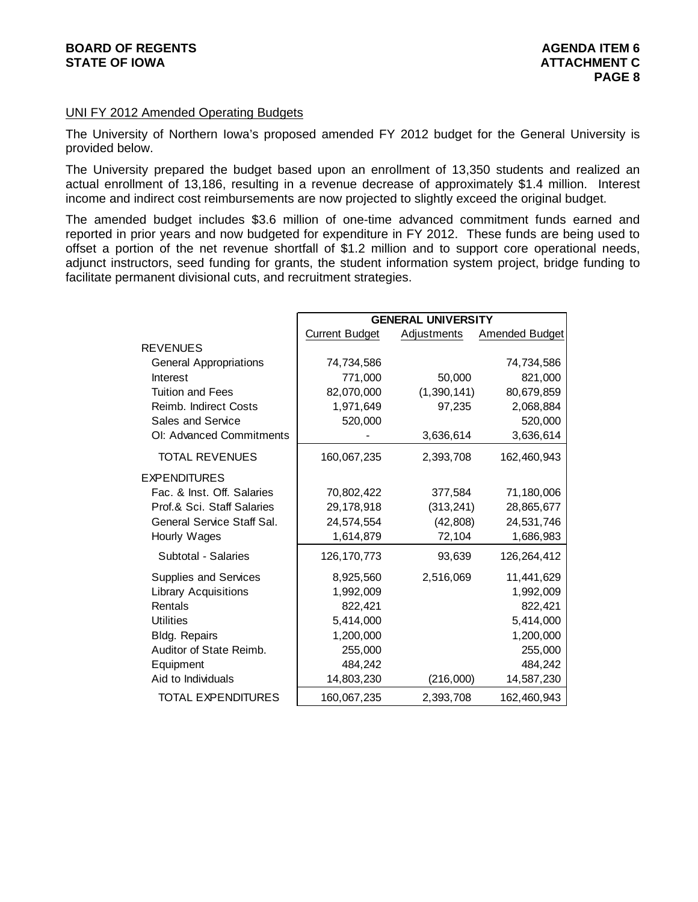## UNI FY 2012 Amended Operating Budgets

The University of Northern Iowa's proposed amended FY 2012 budget for the General University is provided below.

The University prepared the budget based upon an enrollment of 13,350 students and realized an actual enrollment of 13,186, resulting in a revenue decrease of approximately \$1.4 million. Interest income and indirect cost reimbursements are now projected to slightly exceed the original budget.

The amended budget includes \$3.6 million of one-time advanced commitment funds earned and reported in prior years and now budgeted for expenditure in FY 2012. These funds are being used to offset a portion of the net revenue shortfall of \$1.2 million and to support core operational needs, adjunct instructors, seed funding for grants, the student information system project, bridge funding to facilitate permanent divisional cuts, and recruitment strategies.

|                               |                       | <b>GENERAL UNIVERSITY</b> |                |  |  |
|-------------------------------|-----------------------|---------------------------|----------------|--|--|
|                               | <b>Current Budget</b> | Adjustments               | Amended Budget |  |  |
| <b>REVENUES</b>               |                       |                           |                |  |  |
| <b>General Appropriations</b> | 74,734,586            |                           | 74,734,586     |  |  |
| Interest                      | 771,000               | 50,000                    | 821,000        |  |  |
| <b>Tuition and Fees</b>       | 82,070,000            | (1,390,141)               | 80,679,859     |  |  |
| Reimb. Indirect Costs         | 1,971,649             | 97,235                    | 2,068,884      |  |  |
| Sales and Service             | 520,000               |                           | 520,000        |  |  |
| OI: Advanced Commitments      |                       | 3,636,614                 | 3,636,614      |  |  |
| <b>TOTAL REVENUES</b>         | 160,067,235           | 2,393,708                 | 162,460,943    |  |  |
| <b>EXPENDITURES</b>           |                       |                           |                |  |  |
| Fac. & Inst. Off. Salaries    | 70,802,422            | 377,584                   | 71,180,006     |  |  |
| Prof.& Sci. Staff Salaries    | 29,178,918            | (313, 241)                | 28,865,677     |  |  |
| General Service Staff Sal.    | 24,574,554            | (42, 808)                 | 24,531,746     |  |  |
| Hourly Wages                  | 1,614,879             | 72,104                    | 1,686,983      |  |  |
| Subtotal - Salaries           | 126, 170, 773         | 93,639                    | 126,264,412    |  |  |
| <b>Supplies and Services</b>  | 8,925,560             | 2,516,069                 | 11,441,629     |  |  |
| <b>Library Acquisitions</b>   | 1,992,009             |                           | 1,992,009      |  |  |
| Rentals                       | 822,421               |                           | 822,421        |  |  |
| Utilities                     | 5,414,000             |                           | 5,414,000      |  |  |
| <b>Bldg. Repairs</b>          | 1,200,000             |                           | 1,200,000      |  |  |
| Auditor of State Reimb.       | 255,000               |                           | 255,000        |  |  |
| Equipment                     | 484,242               |                           | 484,242        |  |  |
| Aid to Individuals            | 14,803,230            | (216,000)                 | 14,587,230     |  |  |
| <b>TOTAL EXPENDITURES</b>     | 160,067,235           | 2,393,708                 | 162,460,943    |  |  |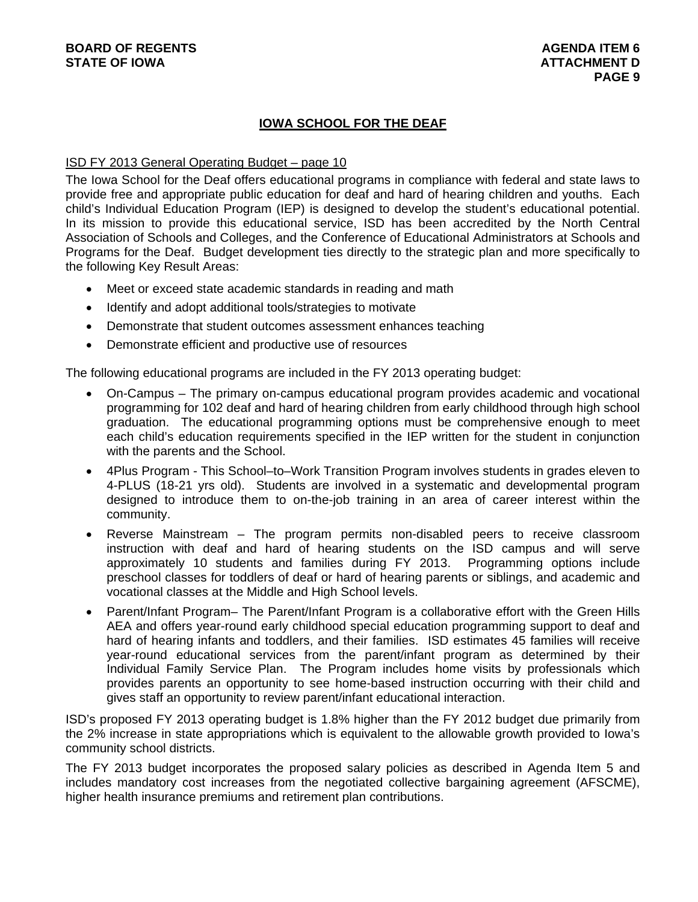# **IOWA SCHOOL FOR THE DEAF**

### ISD FY 2013 General Operating Budget – page 10

The Iowa School for the Deaf offers educational programs in compliance with federal and state laws to provide free and appropriate public education for deaf and hard of hearing children and youths. Each child's Individual Education Program (IEP) is designed to develop the student's educational potential. In its mission to provide this educational service, ISD has been accredited by the North Central Association of Schools and Colleges, and the Conference of Educational Administrators at Schools and Programs for the Deaf. Budget development ties directly to the strategic plan and more specifically to the following Key Result Areas:

- Meet or exceed state academic standards in reading and math
- Identify and adopt additional tools/strategies to motivate
- Demonstrate that student outcomes assessment enhances teaching
- Demonstrate efficient and productive use of resources

The following educational programs are included in the FY 2013 operating budget:

- On-Campus The primary on-campus educational program provides academic and vocational programming for 102 deaf and hard of hearing children from early childhood through high school graduation. The educational programming options must be comprehensive enough to meet each child's education requirements specified in the IEP written for the student in conjunction with the parents and the School.
- 4Plus Program This School–to–Work Transition Program involves students in grades eleven to 4-PLUS (18-21 yrs old). Students are involved in a systematic and developmental program designed to introduce them to on-the-job training in an area of career interest within the community.
- Reverse Mainstream The program permits non-disabled peers to receive classroom instruction with deaf and hard of hearing students on the ISD campus and will serve approximately 10 students and families during FY 2013. Programming options include preschool classes for toddlers of deaf or hard of hearing parents or siblings, and academic and vocational classes at the Middle and High School levels.
- Parent/Infant Program– The Parent/Infant Program is a collaborative effort with the Green Hills AEA and offers year-round early childhood special education programming support to deaf and hard of hearing infants and toddlers, and their families. ISD estimates 45 families will receive year-round educational services from the parent/infant program as determined by their Individual Family Service Plan. The Program includes home visits by professionals which provides parents an opportunity to see home-based instruction occurring with their child and gives staff an opportunity to review parent/infant educational interaction.

ISD's proposed FY 2013 operating budget is 1.8% higher than the FY 2012 budget due primarily from the 2% increase in state appropriations which is equivalent to the allowable growth provided to Iowa's community school districts.

The FY 2013 budget incorporates the proposed salary policies as described in Agenda Item 5 and includes mandatory cost increases from the negotiated collective bargaining agreement (AFSCME), higher health insurance premiums and retirement plan contributions.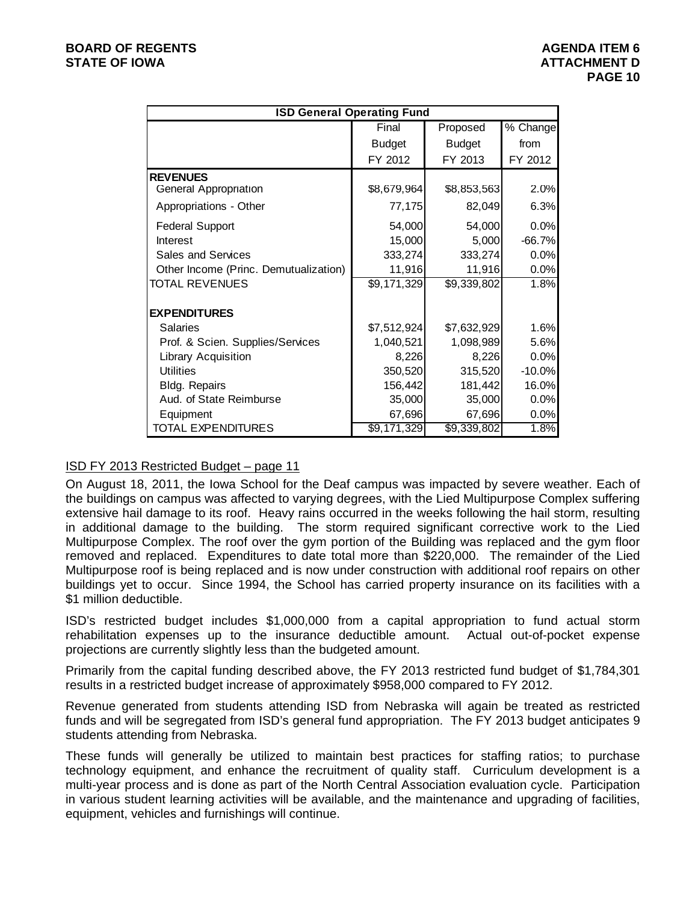| <b>ISD General Operating Fund</b>     |               |               |          |  |
|---------------------------------------|---------------|---------------|----------|--|
|                                       | Final         | Proposed      | % Change |  |
|                                       | <b>Budget</b> | <b>Budget</b> | from     |  |
|                                       | FY 2012       | FY 2013       | FY 2012  |  |
| <b>REVENUES</b>                       |               |               |          |  |
| General Appropriation                 | \$8,679,964   | \$8,853,563   | 2.0%     |  |
| Appropriations - Other                | 77,175        | 82,049        | 6.3%     |  |
| <b>Federal Support</b>                | 54,000        | 54,000        | 0.0%     |  |
| Interest                              | 15,000        | 5,000         | $-66.7%$ |  |
| <b>Sales and Services</b>             | 333,274       | 333,274       | 0.0%     |  |
| Other Income (Princ. Demutualization) | 11,916        | 11,916        | 0.0%     |  |
| <b>TOTAL REVENUES</b>                 | \$9,171,329   | \$9,339,802   | 1.8%     |  |
| <b>EXPENDITURES</b>                   |               |               |          |  |
| Salaries                              | \$7,512,924   | \$7,632,929   | 1.6%     |  |
| Prof. & Scien. Supplies/Services      | 1,040,521     | 1,098,989     | 5.6%     |  |
| Library Acquisition                   | 8,226         | 8,226         | 0.0%     |  |
| <b>Utilities</b>                      | 350,520       | 315,520       | $-10.0%$ |  |
| Bldg. Repairs                         | 156,442       | 181,442       | 16.0%    |  |
| Aud. of State Reimburse               | 35,000        | 35,000        | 0.0%     |  |
| Equipment                             | 67,696        | 67,696        | 0.0%     |  |
| <b>TOTAL EXPENDITURES</b>             | \$9,171,329   | \$9,339,802   | 1.8%     |  |

# ISD FY 2013 Restricted Budget – page 11

On August 18, 2011, the Iowa School for the Deaf campus was impacted by severe weather. Each of the buildings on campus was affected to varying degrees, with the Lied Multipurpose Complex suffering extensive hail damage to its roof. Heavy rains occurred in the weeks following the hail storm, resulting in additional damage to the building. The storm required significant corrective work to the Lied Multipurpose Complex. The roof over the gym portion of the Building was replaced and the gym floor removed and replaced. Expenditures to date total more than \$220,000. The remainder of the Lied Multipurpose roof is being replaced and is now under construction with additional roof repairs on other buildings yet to occur. Since 1994, the School has carried property insurance on its facilities with a \$1 million deductible.

ISD's restricted budget includes \$1,000,000 from a capital appropriation to fund actual storm rehabilitation expenses up to the insurance deductible amount. Actual out-of-pocket expense projections are currently slightly less than the budgeted amount.

Primarily from the capital funding described above, the FY 2013 restricted fund budget of \$1,784,301 results in a restricted budget increase of approximately \$958,000 compared to FY 2012.

Revenue generated from students attending ISD from Nebraska will again be treated as restricted funds and will be segregated from ISD's general fund appropriation. The FY 2013 budget anticipates 9 students attending from Nebraska.

These funds will generally be utilized to maintain best practices for staffing ratios; to purchase technology equipment, and enhance the recruitment of quality staff. Curriculum development is a multi-year process and is done as part of the North Central Association evaluation cycle. Participation in various student learning activities will be available, and the maintenance and upgrading of facilities, equipment, vehicles and furnishings will continue.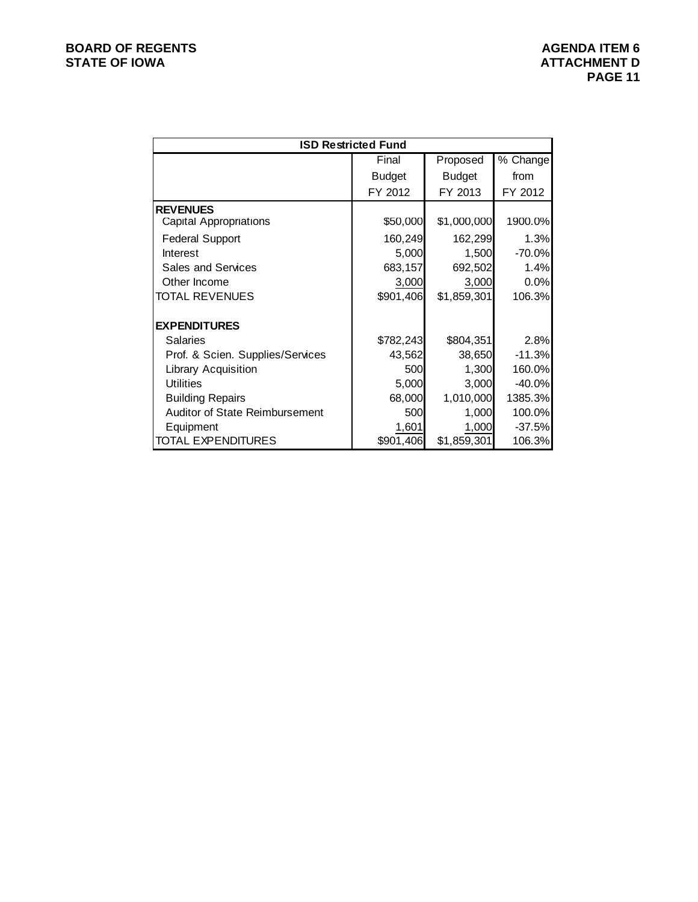| <b>ISD Restricted Fund</b>            |               |               |          |  |
|---------------------------------------|---------------|---------------|----------|--|
|                                       | Final         | Proposed      | % Change |  |
|                                       | <b>Budget</b> | <b>Budget</b> | from     |  |
|                                       | FY 2012       | FY 2013       | FY 2012  |  |
| <b>REVENUES</b>                       |               |               |          |  |
| <b>Capital Appropriations</b>         | \$50,000      | \$1,000,000   | 1900.0%  |  |
| <b>Federal Support</b>                | 160,249       | 162,299       | 1.3%     |  |
| Interest                              | 5,000         | 1,500         | $-70.0%$ |  |
| <b>Sales and Services</b>             | 683,157       | 692,502       | 1.4%     |  |
| Other Income                          | 3,000         | 3,000         | 0.0%     |  |
| <b>TOTAL REVENUES</b>                 | \$901,406     | \$1,859,301   | 106.3%   |  |
| <b>EXPENDITURES</b>                   |               |               |          |  |
| <b>Salaries</b>                       | \$782,243     | \$804,351     | 2.8%     |  |
| Prof. & Scien. Supplies/Services      | 43,562        | 38,650        | $-11.3%$ |  |
| <b>Library Acquisition</b>            | 500           | 1,300         | 160.0%   |  |
| <b>Utilities</b>                      | 5,000         | 3,000         | $-40.0%$ |  |
| <b>Building Repairs</b>               | 68,000        | 1,010,000     | 1385.3%  |  |
| <b>Auditor of State Reimbursement</b> | 500           | 1,000         | 100.0%   |  |
| Equipment                             | 1,601         | 1,000         | $-37.5%$ |  |
| <b>TOTAL EXPENDITURES</b>             | \$901,406     | \$1,859,301   | 106.3%   |  |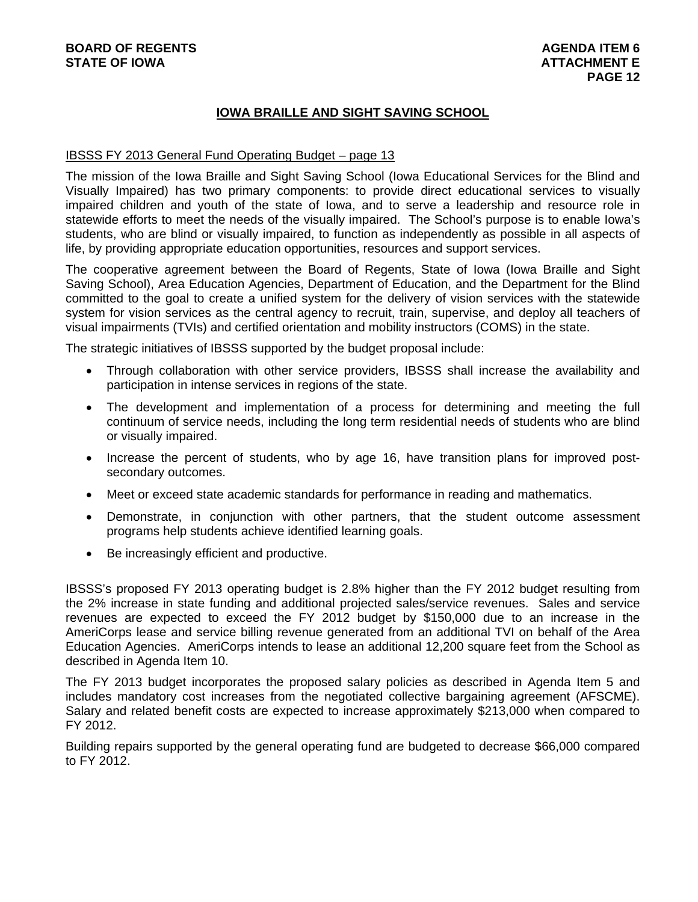# **IOWA BRAILLE AND SIGHT SAVING SCHOOL**

### IBSSS FY 2013 General Fund Operating Budget – page 13

The mission of the Iowa Braille and Sight Saving School (Iowa Educational Services for the Blind and Visually Impaired) has two primary components: to provide direct educational services to visually impaired children and youth of the state of Iowa, and to serve a leadership and resource role in statewide efforts to meet the needs of the visually impaired. The School's purpose is to enable Iowa's students, who are blind or visually impaired, to function as independently as possible in all aspects of life, by providing appropriate education opportunities, resources and support services.

The cooperative agreement between the Board of Regents, State of Iowa (Iowa Braille and Sight Saving School), Area Education Agencies, Department of Education, and the Department for the Blind committed to the goal to create a unified system for the delivery of vision services with the statewide system for vision services as the central agency to recruit, train, supervise, and deploy all teachers of visual impairments (TVIs) and certified orientation and mobility instructors (COMS) in the state.

The strategic initiatives of IBSSS supported by the budget proposal include:

- Through collaboration with other service providers, IBSSS shall increase the availability and participation in intense services in regions of the state.
- The development and implementation of a process for determining and meeting the full continuum of service needs, including the long term residential needs of students who are blind or visually impaired.
- Increase the percent of students, who by age 16, have transition plans for improved postsecondary outcomes.
- Meet or exceed state academic standards for performance in reading and mathematics.
- Demonstrate, in conjunction with other partners, that the student outcome assessment programs help students achieve identified learning goals.
- Be increasingly efficient and productive.

IBSSS's proposed FY 2013 operating budget is 2.8% higher than the FY 2012 budget resulting from the 2% increase in state funding and additional projected sales/service revenues. Sales and service revenues are expected to exceed the FY 2012 budget by \$150,000 due to an increase in the AmeriCorps lease and service billing revenue generated from an additional TVI on behalf of the Area Education Agencies. AmeriCorps intends to lease an additional 12,200 square feet from the School as described in Agenda Item 10.

The FY 2013 budget incorporates the proposed salary policies as described in Agenda Item 5 and includes mandatory cost increases from the negotiated collective bargaining agreement (AFSCME). Salary and related benefit costs are expected to increase approximately \$213,000 when compared to FY 2012.

Building repairs supported by the general operating fund are budgeted to decrease \$66,000 compared to FY 2012.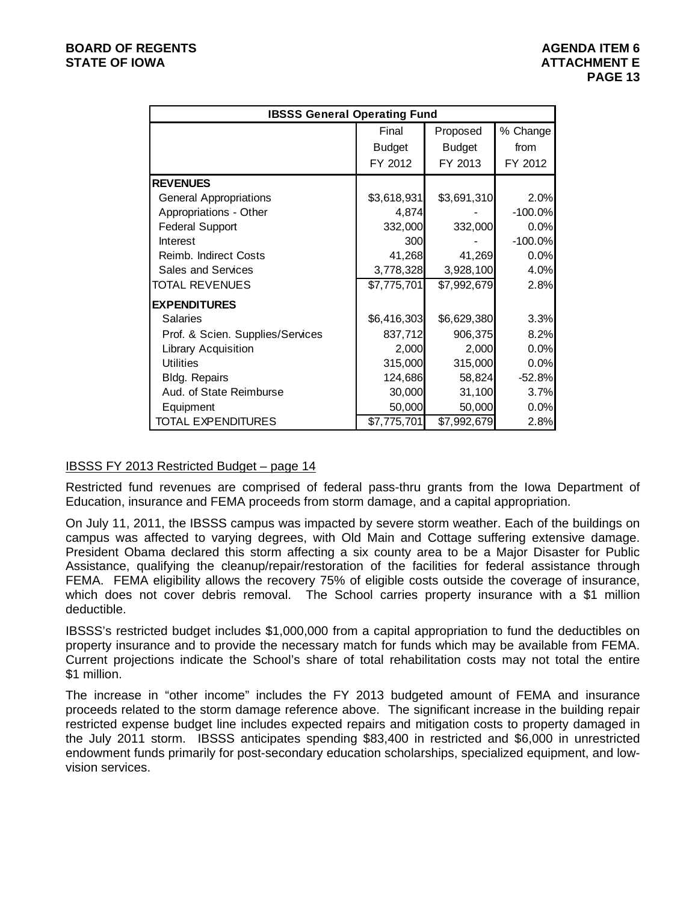| <b>IBSSS General Operating Fund</b> |               |               |           |  |
|-------------------------------------|---------------|---------------|-----------|--|
|                                     | Final         | Proposed      | % Change  |  |
|                                     | <b>Budget</b> | <b>Budget</b> | from      |  |
|                                     | FY 2012       | FY 2013       | FY 2012   |  |
| <b>REVENUES</b>                     |               |               |           |  |
| <b>General Appropriations</b>       | \$3,618,931   | \$3,691,310   | 2.0%      |  |
| Appropriations - Other              | 4,874         |               | $-100.0%$ |  |
| <b>Federal Support</b>              | 332,000       | 332,000       | 0.0%      |  |
| Interest                            | 300           |               | $-100.0%$ |  |
| Reimb. Indirect Costs               | 41,268        | 41,269        | 0.0%      |  |
| <b>Sales and Services</b>           | 3,778,328     | 3,928,100     | 4.0%      |  |
| <b>TOTAL REVENUES</b>               | \$7,775,701   | \$7,992,679   | 2.8%      |  |
| <b>EXPENDITURES</b>                 |               |               |           |  |
| <b>Salaries</b>                     | \$6,416,303   | \$6,629,380   | 3.3%      |  |
| Prof. & Scien. Supplies/Services    | 837,712       | 906,375       | 8.2%      |  |
| <b>Library Acquisition</b>          | 2,000         | 2,000         | 0.0%      |  |
| <b>Utilities</b>                    | 315,000       | 315,000       | 0.0%      |  |
| Bldg. Repairs                       | 124,686       | 58,824        | $-52.8%$  |  |
| Aud. of State Reimburse             | 30,000        | 31,100        | 3.7%      |  |
| Equipment                           | 50,000        | 50,000        | 0.0%      |  |
| TOTAL EXPENDITURES                  | \$7,775,701   | \$7,992,679   | 2.8%      |  |

### IBSSS FY 2013 Restricted Budget – page 14

Restricted fund revenues are comprised of federal pass-thru grants from the Iowa Department of Education, insurance and FEMA proceeds from storm damage, and a capital appropriation.

On July 11, 2011, the IBSSS campus was impacted by severe storm weather. Each of the buildings on campus was affected to varying degrees, with Old Main and Cottage suffering extensive damage. President Obama declared this storm affecting a six county area to be a Major Disaster for Public Assistance, qualifying the cleanup/repair/restoration of the facilities for federal assistance through FEMA. FEMA eligibility allows the recovery 75% of eligible costs outside the coverage of insurance, which does not cover debris removal. The School carries property insurance with a \$1 million deductible.

IBSSS's restricted budget includes \$1,000,000 from a capital appropriation to fund the deductibles on property insurance and to provide the necessary match for funds which may be available from FEMA. Current projections indicate the School's share of total rehabilitation costs may not total the entire \$1 million.

The increase in "other income" includes the FY 2013 budgeted amount of FEMA and insurance proceeds related to the storm damage reference above. The significant increase in the building repair restricted expense budget line includes expected repairs and mitigation costs to property damaged in the July 2011 storm. IBSSS anticipates spending \$83,400 in restricted and \$6,000 in unrestricted endowment funds primarily for post-secondary education scholarships, specialized equipment, and lowvision services.